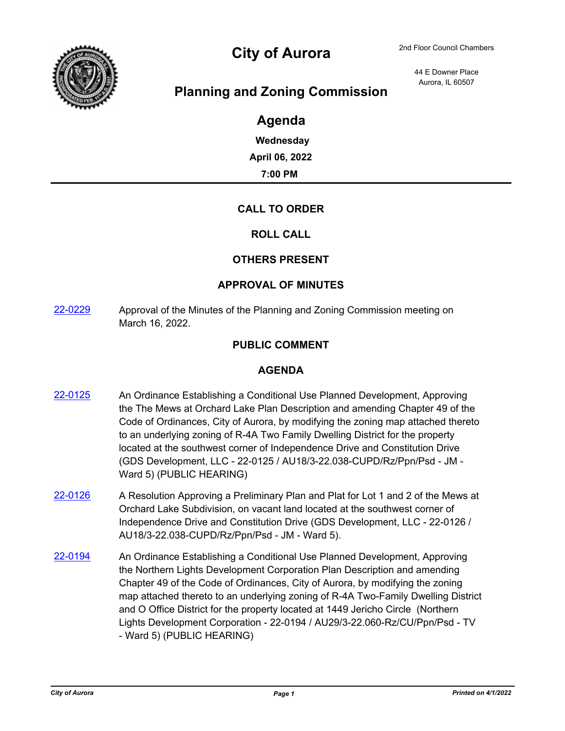

# City of Aurora 2nd Floor Council Chambers

44 E Downer Place Aurora, IL 60507

# **Planning and Zoning Commission**

## **Agenda**

**Wednesday April 06, 2022**

**7:00 PM**

### **CALL TO ORDER**

#### **ROLL CALL**

### **OTHERS PRESENT**

#### **APPROVAL OF MINUTES**

[22-0229](http://aurora-il.legistar.com/gateway.aspx?m=l&id=/matter.aspx?key=11318) Approval of the Minutes of the Planning and Zoning Commission meeting on March 16, 2022.

### **PUBLIC COMMENT**

#### **AGENDA**

- [22-0125](http://aurora-il.legistar.com/gateway.aspx?m=l&id=/matter.aspx?key=11214) An Ordinance Establishing a Conditional Use Planned Development, Approving the The Mews at Orchard Lake Plan Description and amending Chapter 49 of the Code of Ordinances, City of Aurora, by modifying the zoning map attached thereto to an underlying zoning of R-4A Two Family Dwelling District for the property located at the southwest corner of Independence Drive and Constitution Drive (GDS Development, LLC - 22-0125 / AU18/3-22.038-CUPD/Rz/Ppn/Psd - JM - Ward 5) (PUBLIC HEARING)
- $22-0126$  A Resolution Approving a Preliminary Plan and Plat for Lot 1 and 2 of the Mews at Orchard Lake Subdivision, on vacant land located at the southwest corner of Independence Drive and Constitution Drive (GDS Development, LLC - 22-0126 / AU18/3-22.038-CUPD/Rz/Ppn/Psd - JM - Ward 5).
- [22-0194](http://aurora-il.legistar.com/gateway.aspx?m=l&id=/matter.aspx?key=11283) An Ordinance Establishing a Conditional Use Planned Development, Approving the Northern Lights Development Corporation Plan Description and amending Chapter 49 of the Code of Ordinances, City of Aurora, by modifying the zoning map attached thereto to an underlying zoning of R-4A Two-Family Dwelling District and O Office District for the property located at 1449 Jericho Circle (Northern Lights Development Corporation - 22-0194 / AU29/3-22.060-Rz/CU/Ppn/Psd - TV - Ward 5) (PUBLIC HEARING)